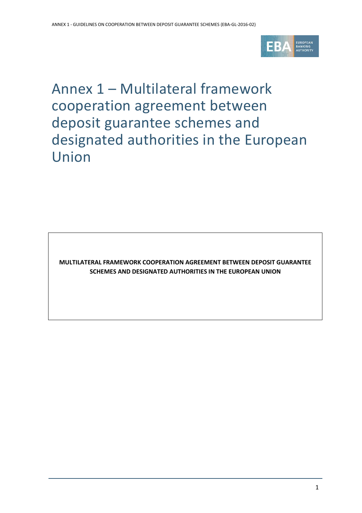

# Annex 1 – Multilateral framework cooperation agreement between deposit guarantee schemes and designated authorities in the European Union

**MULTILATERAL FRAMEWORK COOPERATION AGREEMENT BETWEEN DEPOSIT GUARANTEE SCHEMES AND DESIGNATED AUTHORITIES IN THE EUROPEAN UNION**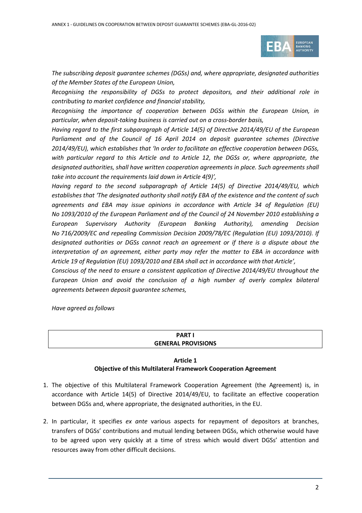

*The subscribing deposit guarantee schemes (DGSs) and, where appropriate, designated authorities of the Member States of the European Union,* 

*Recognising the responsibility of DGSs to protect depositors, and their additional role in contributing to market confidence and financial stability,*

*Recognising the importance of cooperation between DGSs within the European Union, in particular, when deposit-taking business is carried out on a cross-border basis,*

*Having regard to the first subparagraph of Article 14(5) of Directive 2014/49/EU of the European Parliament and of the Council of 16 April 2014 on deposit guarantee schemes (Directive 2014/49/EU), which establishes that 'In order to facilitate an effective cooperation between DGSs, with particular regard to this Article and to Article 12, the DGSs or, where appropriate, the designated authorities, shall have written cooperation agreements in place. Such agreements shall take into account the requirements laid down in Article 4(9)',*

*Having regard to the second subparagraph of Article 14(5) of Directive 2014/49/EU, which establishes that 'The designated authority shall notify EBA of the existence and the content of such agreements and EBA may issue opinions in accordance with Article 34 of Regulation (EU) No 1093/2010 of the European Parliament and of the Council of 24 November 2010 establishing a European Supervisory Authority (European Banking Authority), amending Decision No 716/2009/EC and repealing Commission Decision 2009/78/EC (Regulation (EU) 1093/2010). If designated authorities or DGSs cannot reach an agreement or if there is a dispute about the interpretation of an agreement, either party may refer the matter to EBA in accordance with Article 19 of Regulation (EU) 1093/2010 and EBA shall act in accordance with that Article',*

*Conscious of the need to ensure a consistent application of Directive 2014/49/EU throughout the European Union and avoid the conclusion of a high number of overly complex bilateral agreements between deposit guarantee schemes,*

*Have agreed as follows*

#### **PART I GENERAL PROVISIONS**

# **Article 1**

#### **Objective of this Multilateral Framework Cooperation Agreement**

- 1. The objective of this Multilateral Framework Cooperation Agreement (the Agreement) is, in accordance with Article 14(5) of Directive 2014/49/EU, to facilitate an effective cooperation between DGSs and, where appropriate, the designated authorities, in the EU.
- 2. In particular, it specifies *ex ante* various aspects for repayment of depositors at branches, transfers of DGSs' contributions and mutual lending between DGSs, which otherwise would have to be agreed upon very quickly at a time of stress which would divert DGSs' attention and resources away from other difficult decisions.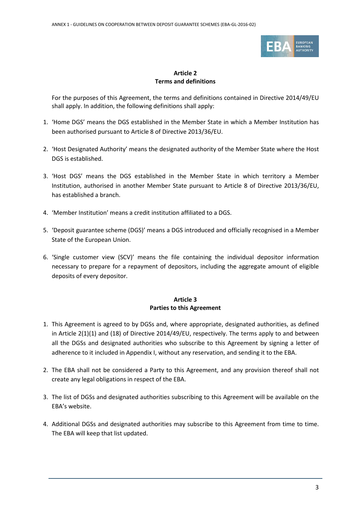

## **Article 2 Terms and definitions**

For the purposes of this Agreement, the terms and definitions contained in Directive 2014/49/EU shall apply. In addition, the following definitions shall apply:

- 1. 'Home DGS' means the DGS established in the Member State in which a Member Institution has been authorised pursuant to Article 8 of Directive 2013/36/EU.
- 2. 'Host Designated Authority' means the designated authority of the Member State where the Host DGS is established.
- 3. 'Host DGS' means the DGS established in the Member State in which territory a Member Institution, authorised in another Member State pursuant to Article 8 of Directive 2013/36/EU, has established a branch.
- 4. 'Member Institution' means a credit institution affiliated to a DGS.
- 5. 'Deposit guarantee scheme (DGS)' means a DGS introduced and officially recognised in a Member State of the European Union.
- 6. 'Single customer view (SCV)' means the file containing the individual depositor information necessary to prepare for a repayment of depositors, including the aggregate amount of eligible deposits of every depositor.

#### **Article 3 Parties to this Agreement**

- 1. This Agreement is agreed to by DGSs and, where appropriate, designated authorities, as defined in Article 2(1)(1) and (18) of Directive 2014/49/EU, respectively. The terms apply to and between all the DGSs and designated authorities who subscribe to this Agreement by signing a letter of adherence to it included in Appendix I, without any reservation, and sending it to the EBA.
- 2. The EBA shall not be considered a Party to this Agreement, and any provision thereof shall not create any legal obligations in respect of the EBA.
- 3. The list of DGSs and designated authorities subscribing to this Agreement will be available on the EBA's website.
- 4. Additional DGSs and designated authorities may subscribe to this Agreement from time to time. The EBA will keep that list updated.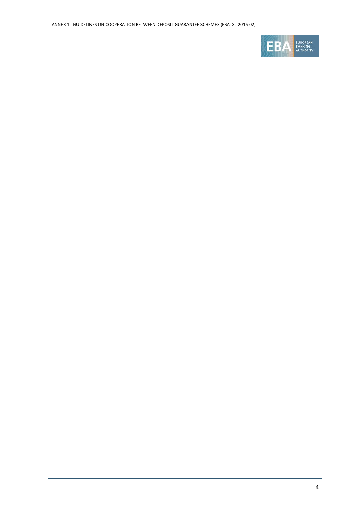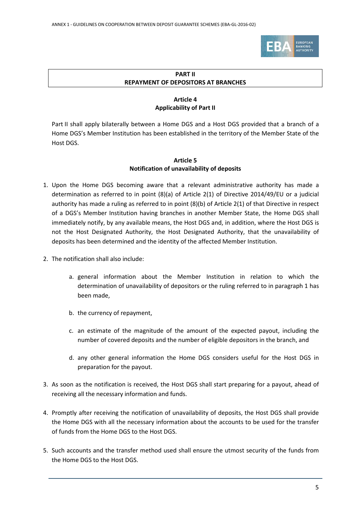

#### **PART II REPAYMENT OF DEPOSITORS AT BRANCHES**

## **Article 4 Applicability of Part II**

Part II shall apply bilaterally between a Home DGS and a Host DGS provided that a branch of a Home DGS's Member Institution has been established in the territory of the Member State of the Host DGS.

## **Article 5 Notification of unavailability of deposits**

- 1. Upon the Home DGS becoming aware that a relevant administrative authority has made a determination as referred to in point (8)(a) of Article 2(1) of Directive 2014/49/EU or a judicial authority has made a ruling as referred to in point (8)(b) of Article 2(1) of that Directive in respect of a DGS's Member Institution having branches in another Member State, the Home DGS shall immediately notify, by any available means, the Host DGS and, in addition, where the Host DGS is not the Host Designated Authority, the Host Designated Authority, that the unavailability of deposits has been determined and the identity of the affected Member Institution.
- 2. The notification shall also include:
	- a. general information about the Member Institution in relation to which the determination of unavailability of depositors or the ruling referred to in paragraph 1 has been made,
	- b. the currency of repayment,
	- c. an estimate of the magnitude of the amount of the expected payout, including the number of covered deposits and the number of eligible depositors in the branch, and
	- d. any other general information the Home DGS considers useful for the Host DGS in preparation for the payout.
- 3. As soon as the notification is received, the Host DGS shall start preparing for a payout, ahead of receiving all the necessary information and funds.
- 4. Promptly after receiving the notification of unavailability of deposits, the Host DGS shall provide the Home DGS with all the necessary information about the accounts to be used for the transfer of funds from the Home DGS to the Host DGS.
- 5. Such accounts and the transfer method used shall ensure the utmost security of the funds from the Home DGS to the Host DGS.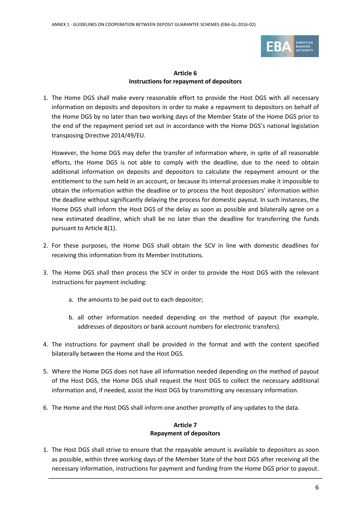

## **Article 6 Instructions for repayment of depositors**

1. The Home DGS shall make every reasonable effort to provide the Host DGS with all necessary information on deposits and depositors in order to make a repayment to depositors on behalf of the Home DGS by no later than two working days of the Member State of the Home DGS prior to the end of the repayment period set out in accordance with the Home DGS's national legislation transposing Directive 2014/49/EU.

However, the home DGS may defer the transfer of information where, in spite of all reasonable efforts, the Home DGS is not able to comply with the deadline, due to the need to obtain additional information on deposits and depositors to calculate the repayment amount or the entitlement to the sum held in an account, or because its internal processes make it impossible to obtain the information within the deadline or to process the host depositors' information within the deadline without significantly delaying the process for domestic payout. In such instances, the Home DGS shall inform the Host DGS of the delay as soon as possible and bilaterally agree on a new estimated deadline, which shall be no later than the deadline for transferring the funds pursuant to Article 8(1).

- 2. For these purposes, the Home DGS shall obtain the SCV in line with domestic deadlines for receiving this information from its Member Institutions.
- 3. The Home DGS shall then process the SCV in order to provide the Host DGS with the relevant instructions for payment including:
	- a. the amounts to be paid out to each depositor;
	- b. all other information needed depending on the method of payout (for example, addresses of depositors or bank account numbers for electronic transfers).
- 4. The instructions for payment shall be provided in the format and with the content specified bilaterally between the Home and the Host DGS.
- 5. Where the Home DGS does not have all information needed depending on the method of payout of the Host DGS, the Home DGS shall request the Host DGS to collect the necessary additional information and, if needed, assist the Host DGS by transmitting any necessary information.
- 6. The Home and the Host DGS shall inform one another promptly of any updates to the data.

## **Article 7 Repayment of depositors**

1. The Host DGS shall strive to ensure that the repayable amount is available to depositors as soon as possible, within three working days of the Member State of the host DGS after receiving all the necessary information, instructions for payment and funding from the Home DGS prior to payout.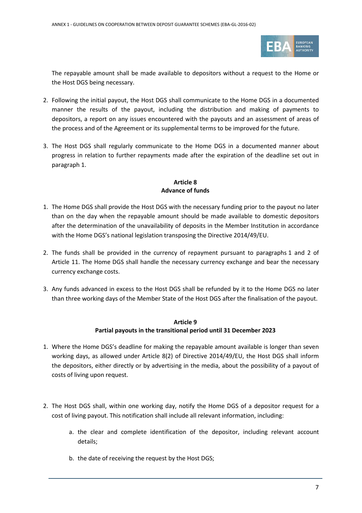

The repayable amount shall be made available to depositors without a request to the Home or the Host DGS being necessary.

- 2. Following the initial payout, the Host DGS shall communicate to the Home DGS in a documented manner the results of the payout, including the distribution and making of payments to depositors, a report on any issues encountered with the payouts and an assessment of areas of the process and of the Agreement or its supplemental terms to be improved for the future.
- 3. The Host DGS shall regularly communicate to the Home DGS in a documented manner about progress in relation to further repayments made after the expiration of the deadline set out in paragraph 1.

## **Article 8 Advance of funds**

- 1. The Home DGS shall provide the Host DGS with the necessary funding prior to the payout no later than on the day when the repayable amount should be made available to domestic depositors after the determination of the unavailability of deposits in the Member Institution in accordance with the Home DGS's national legislation transposing the Directive 2014/49/EU.
- 2. The funds shall be provided in the currency of repayment pursuant to paragraphs 1 and 2 of Article 11. The Home DGS shall handle the necessary currency exchange and bear the necessary currency exchange costs.
- 3. Any funds advanced in excess to the Host DGS shall be refunded by it to the Home DGS no later than three working days of the Member State of the Host DGS after the finalisation of the payout.

#### **Article 9 Partial payouts in the transitional period until 31 December 2023**

- 1. Where the Home DGS's deadline for making the repayable amount available is longer than seven working days, as allowed under Article 8(2) of Directive 2014/49/EU, the Host DGS shall inform the depositors, either directly or by advertising in the media, about the possibility of a payout of costs of living upon request.
- 2. The Host DGS shall, within one working day, notify the Home DGS of a depositor request for a cost of living payout. This notification shall include all relevant information, including:
	- a. the clear and complete identification of the depositor, including relevant account details;
	- b. the date of receiving the request by the Host DGS;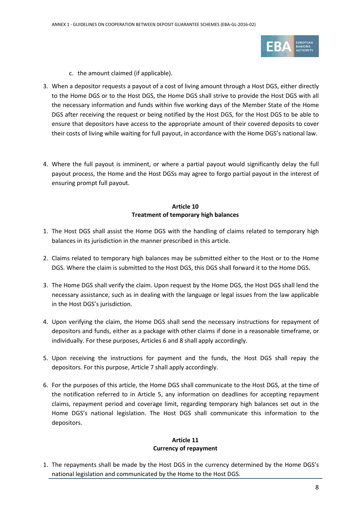

- c. the amount claimed (if applicable).
- 3. When a depositor requests a payout of a cost of living amount through a Host DGS, either directly to the Home DGS or to the Host DGS, the Home DGS shall strive to provide the Host DGS with all the necessary information and funds within five working days of the Member State of the Home DGS after receiving the request or being notified by the Host DGS, for the Host DGS to be able to ensure that depositors have access to the appropriate amount of their covered deposits to cover their costs of living while waiting for full payout, in accordance with the Home DGS's national law.
- 4. Where the full payout is imminent, or where a partial payout would significantly delay the full payout process, the Home and the Host DGSs may agree to forgo partial payout in the interest of ensuring prompt full payout.

## **Article 10 Treatment of temporary high balances**

- 1. The Host DGS shall assist the Home DGS with the handling of claims related to temporary high balances in its jurisdiction in the manner prescribed in this article.
- 2. Claims related to temporary high balances may be submitted either to the Host or to the Home DGS. Where the claim is submitted to the Host DGS, this DGS shall forward it to the Home DGS.
- 3. The Home DGS shall verify the claim. Upon request by the Home DGS, the Host DGS shall lend the necessary assistance, such as in dealing with the language or legal issues from the law applicable in the Host DGS's jurisdiction.
- 4. Upon verifying the claim, the Home DGS shall send the necessary instructions for repayment of depositors and funds, either as a package with other claims if done in a reasonable timeframe, or individually. For these purposes, Articles 6 and 8 shall apply accordingly.
- 5. Upon receiving the instructions for payment and the funds, the Host DGS shall repay the depositors. For this purpose, Article 7 shall apply accordingly.
- 6. For the purposes of this article, the Home DGS shall communicate to the Host DGS, at the time of the notification referred to in Article 5, any information on deadlines for accepting repayment claims, repayment period and coverage limit, regarding temporary high balances set out in the Home DGS's national legislation. The Host DGS shall communicate this information to the depositors.

#### **Article 11 Currency of repayment**

1. The repayments shall be made by the Host DGS in the currency determined by the Home DGS's national legislation and communicated by the Home to the Host DGS.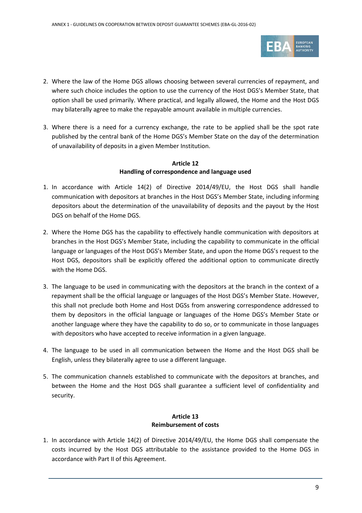

- 2. Where the law of the Home DGS allows choosing between several currencies of repayment, and where such choice includes the option to use the currency of the Host DGS's Member State, that option shall be used primarily. Where practical, and legally allowed, the Home and the Host DGS may bilaterally agree to make the repayable amount available in multiple currencies.
- 3. Where there is a need for a currency exchange, the rate to be applied shall be the spot rate published by the central bank of the Home DGS's Member State on the day of the determination of unavailability of deposits in a given Member Institution.

#### **Article 12 Handling of correspondence and language used**

- 1. In accordance with Article 14(2) of Directive 2014/49/EU, the Host DGS shall handle communication with depositors at branches in the Host DGS's Member State, including informing depositors about the determination of the unavailability of deposits and the payout by the Host DGS on behalf of the Home DGS.
- 2. Where the Home DGS has the capability to effectively handle communication with depositors at branches in the Host DGS's Member State, including the capability to communicate in the official language or languages of the Host DGS's Member State, and upon the Home DGS's request to the Host DGS, depositors shall be explicitly offered the additional option to communicate directly with the Home DGS.
- 3. The language to be used in communicating with the depositors at the branch in the context of a repayment shall be the official language or languages of the Host DGS's Member State. However, this shall not preclude both Home and Host DGSs from answering correspondence addressed to them by depositors in the official language or languages of the Home DGS's Member State or another language where they have the capability to do so, or to communicate in those languages with depositors who have accepted to receive information in a given language.
- 4. The language to be used in all communication between the Home and the Host DGS shall be English, unless they bilaterally agree to use a different language.
- 5. The communication channels established to communicate with the depositors at branches, and between the Home and the Host DGS shall guarantee a sufficient level of confidentiality and security.

#### **Article 13 Reimbursement of costs**

1. In accordance with Article 14(2) of Directive 2014/49/EU, the Home DGS shall compensate the costs incurred by the Host DGS attributable to the assistance provided to the Home DGS in accordance with Part II of this Agreement.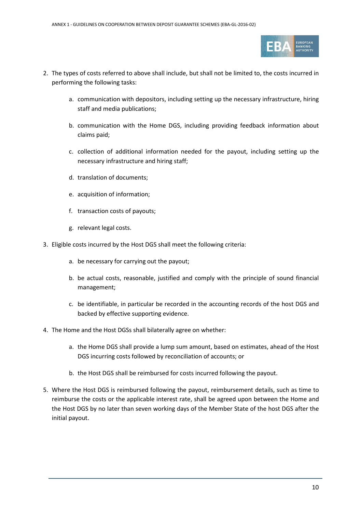

- 2. The types of costs referred to above shall include, but shall not be limited to, the costs incurred in performing the following tasks:
	- a. communication with depositors, including setting up the necessary infrastructure, hiring staff and media publications;
	- b. communication with the Home DGS, including providing feedback information about claims paid;
	- c. collection of additional information needed for the payout, including setting up the necessary infrastructure and hiring staff;
	- d. translation of documents;
	- e. acquisition of information;
	- f. transaction costs of payouts;
	- g. relevant legal costs.
- 3. Eligible costs incurred by the Host DGS shall meet the following criteria:
	- a. be necessary for carrying out the payout;
	- b. be actual costs, reasonable, justified and comply with the principle of sound financial management;
	- c. be identifiable, in particular be recorded in the accounting records of the host DGS and backed by effective supporting evidence.
- 4. The Home and the Host DGSs shall bilaterally agree on whether:
	- a. the Home DGS shall provide a lump sum amount, based on estimates, ahead of the Host DGS incurring costs followed by reconciliation of accounts; or
	- b. the Host DGS shall be reimbursed for costs incurred following the payout.
- 5. Where the Host DGS is reimbursed following the payout, reimbursement details, such as time to reimburse the costs or the applicable interest rate, shall be agreed upon between the Home and the Host DGS by no later than seven working days of the Member State of the host DGS after the initial payout.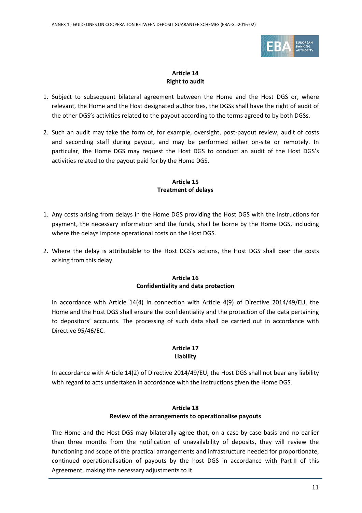

## **Article 14 Right to audit**

- 1. Subject to subsequent bilateral agreement between the Home and the Host DGS or, where relevant, the Home and the Host designated authorities, the DGSs shall have the right of audit of the other DGS's activities related to the payout according to the terms agreed to by both DGSs.
- 2. Such an audit may take the form of, for example, oversight, post-payout review, audit of costs and seconding staff during payout, and may be performed either on-site or remotely. In particular, the Home DGS may request the Host DGS to conduct an audit of the Host DGS's activities related to the payout paid for by the Home DGS.

#### **Article 15 Treatment of delays**

- 1. Any costs arising from delays in the Home DGS providing the Host DGS with the instructions for payment, the necessary information and the funds, shall be borne by the Home DGS, including where the delays impose operational costs on the Host DGS.
- 2. Where the delay is attributable to the Host DGS's actions, the Host DGS shall bear the costs arising from this delay.

## **Article 16 Confidentiality and data protection**

In accordance with Article 14(4) in connection with Article 4(9) of Directive 2014/49/EU, the Home and the Host DGS shall ensure the confidentiality and the protection of the data pertaining to depositors' accounts. The processing of such data shall be carried out in accordance with Directive 95/46/EC.

#### **Article 17 Liability**

In accordance with Article 14(2) of Directive 2014/49/EU, the Host DGS shall not bear any liability with regard to acts undertaken in accordance with the instructions given the Home DGS.

#### **Article 18 Review of the arrangements to operationalise payouts**

The Home and the Host DGS may bilaterally agree that, on a case-by-case basis and no earlier than three months from the notification of unavailability of deposits, they will review the functioning and scope of the practical arrangements and infrastructure needed for proportionate, continued operationalisation of payouts by the host DGS in accordance with Part II of this Agreement, making the necessary adjustments to it.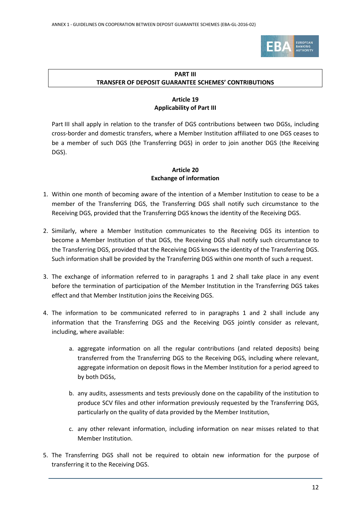

#### **PART III TRANSFER OF DEPOSIT GUARANTEE SCHEMES' CONTRIBUTIONS**

## **Article 19 Applicability of Part III**

Part III shall apply in relation to the transfer of DGS contributions between two DGSs, including cross-border and domestic transfers, where a Member Institution affiliated to one DGS ceases to be a member of such DGS (the Transferring DGS) in order to join another DGS (the Receiving DGS).

## **Article 20 Exchange of information**

- 1. Within one month of becoming aware of the intention of a Member Institution to cease to be a member of the Transferring DGS, the Transferring DGS shall notify such circumstance to the Receiving DGS, provided that the Transferring DGS knows the identity of the Receiving DGS.
- 2. Similarly, where a Member Institution communicates to the Receiving DGS its intention to become a Member Institution of that DGS, the Receiving DGS shall notify such circumstance to the Transferring DGS, provided that the Receiving DGS knows the identity of the Transferring DGS. Such information shall be provided by the Transferring DGS within one month of such a request.
- 3. The exchange of information referred to in paragraphs 1 and 2 shall take place in any event before the termination of participation of the Member Institution in the Transferring DGS takes effect and that Member Institution joins the Receiving DGS.
- 4. The information to be communicated referred to in paragraphs 1 and 2 shall include any information that the Transferring DGS and the Receiving DGS jointly consider as relevant, including, where available:
	- a. aggregate information on all the regular contributions (and related deposits) being transferred from the Transferring DGS to the Receiving DGS, including where relevant, aggregate information on deposit flows in the Member Institution for a period agreed to by both DGSs,
	- b. any audits, assessments and tests previously done on the capability of the institution to produce SCV files and other information previously requested by the Transferring DGS, particularly on the quality of data provided by the Member Institution,
	- c. any other relevant information, including information on near misses related to that Member Institution.
- 5. The Transferring DGS shall not be required to obtain new information for the purpose of transferring it to the Receiving DGS.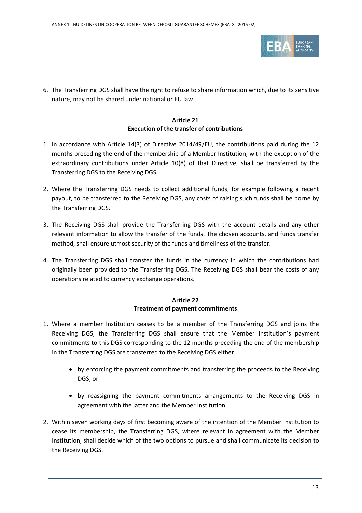

6. The Transferring DGS shall have the right to refuse to share information which, due to its sensitive nature, may not be shared under national or EU law.

## **Article 21 Execution of the transfer of contributions**

- 1. In accordance with Article 14(3) of Directive 2014/49/EU, the contributions paid during the 12 months preceding the end of the membership of a Member Institution, with the exception of the extraordinary contributions under Article 10(8) of that Directive, shall be transferred by the Transferring DGS to the Receiving DGS.
- 2. Where the Transferring DGS needs to collect additional funds, for example following a recent payout, to be transferred to the Receiving DGS, any costs of raising such funds shall be borne by the Transferring DGS.
- 3. The Receiving DGS shall provide the Transferring DGS with the account details and any other relevant information to allow the transfer of the funds. The chosen accounts, and funds transfer method, shall ensure utmost security of the funds and timeliness of the transfer.
- 4. The Transferring DGS shall transfer the funds in the currency in which the contributions had originally been provided to the Transferring DGS. The Receiving DGS shall bear the costs of any operations related to currency exchange operations.

## **Article 22 Treatment of payment commitments**

- 1. Where a member Institution ceases to be a member of the Transferring DGS and joins the Receiving DGS, the Transferring DGS shall ensure that the Member Institution's payment commitments to this DGS corresponding to the 12 months preceding the end of the membership in the Transferring DGS are transferred to the Receiving DGS either
	- by enforcing the payment commitments and transferring the proceeds to the Receiving DGS; or
	- by reassigning the payment commitments arrangements to the Receiving DGS in agreement with the latter and the Member Institution.
- 2. Within seven working days of first becoming aware of the intention of the Member Institution to cease its membership, the Transferring DGS, where relevant in agreement with the Member Institution, shall decide which of the two options to pursue and shall communicate its decision to the Receiving DGS.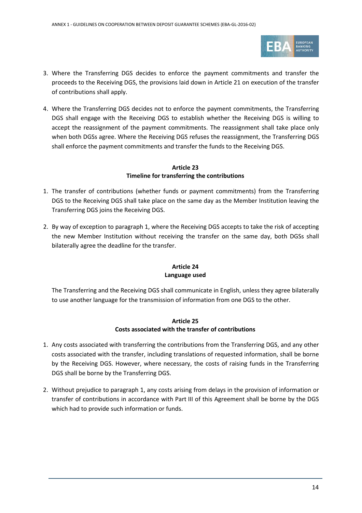

- 3. Where the Transferring DGS decides to enforce the payment commitments and transfer the proceeds to the Receiving DGS, the provisions laid down in Article 21 on execution of the transfer of contributions shall apply.
- 4. Where the Transferring DGS decides not to enforce the payment commitments, the Transferring DGS shall engage with the Receiving DGS to establish whether the Receiving DGS is willing to accept the reassignment of the payment commitments. The reassignment shall take place only when both DGSs agree. Where the Receiving DGS refuses the reassignment, the Transferring DGS shall enforce the payment commitments and transfer the funds to the Receiving DGS.

#### **Article 23 Timeline for transferring the contributions**

- 1. The transfer of contributions (whether funds or payment commitments) from the Transferring DGS to the Receiving DGS shall take place on the same day as the Member Institution leaving the Transferring DGS joins the Receiving DGS.
- 2. By way of exception to paragraph 1, where the Receiving DGS accepts to take the risk of accepting the new Member Institution without receiving the transfer on the same day, both DGSs shall bilaterally agree the deadline for the transfer.

# **Article 24 Language used**

The Transferring and the Receiving DGS shall communicate in English, unless they agree bilaterally to use another language for the transmission of information from one DGS to the other.

#### **Article 25 Costs associated with the transfer of contributions**

- 1. Any costs associated with transferring the contributions from the Transferring DGS, and any other costs associated with the transfer, including translations of requested information, shall be borne by the Receiving DGS. However, where necessary, the costs of raising funds in the Transferring DGS shall be borne by the Transferring DGS.
- 2. Without prejudice to paragraph 1, any costs arising from delays in the provision of information or transfer of contributions in accordance with Part III of this Agreement shall be borne by the DGS which had to provide such information or funds.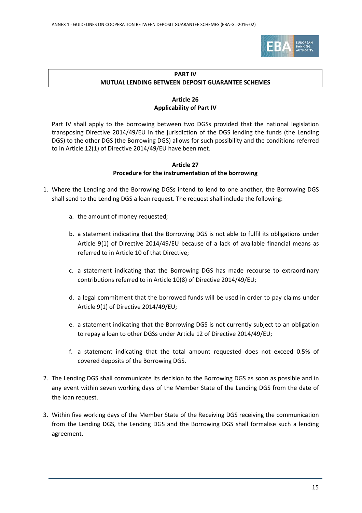

#### **PART IV MUTUAL LENDING BETWEEN DEPOSIT GUARANTEE SCHEMES**

#### **Article 26 Applicability of Part IV**

Part IV shall apply to the borrowing between two DGSs provided that the national legislation transposing Directive 2014/49/EU in the jurisdiction of the DGS lending the funds (the Lending DGS) to the other DGS (the Borrowing DGS) allows for such possibility and the conditions referred to in Article 12(1) of Directive 2014/49/EU have been met.

#### **Article 27 Procedure for the instrumentation of the borrowing**

- 1. Where the Lending and the Borrowing DGSs intend to lend to one another, the Borrowing DGS shall send to the Lending DGS a loan request. The request shall include the following:
	- a. the amount of money requested;
	- b. a statement indicating that the Borrowing DGS is not able to fulfil its obligations under Article 9(1) of Directive 2014/49/EU because of a lack of available financial means as referred to in Article 10 of that Directive;
	- c. a statement indicating that the Borrowing DGS has made recourse to extraordinary contributions referred to in Article 10(8) of Directive 2014/49/EU;
	- d. a legal commitment that the borrowed funds will be used in order to pay claims under Article 9(1) of Directive 2014/49/EU;
	- e. a statement indicating that the Borrowing DGS is not currently subject to an obligation to repay a loan to other DGSs under Article 12 of Directive 2014/49/EU;
	- f. a statement indicating that the total amount requested does not exceed 0.5% of covered deposits of the Borrowing DGS.
- 2. The Lending DGS shall communicate its decision to the Borrowing DGS as soon as possible and in any event within seven working days of the Member State of the Lending DGS from the date of the loan request.
- 3. Within five working days of the Member State of the Receiving DGS receiving the communication from the Lending DGS, the Lending DGS and the Borrowing DGS shall formalise such a lending agreement.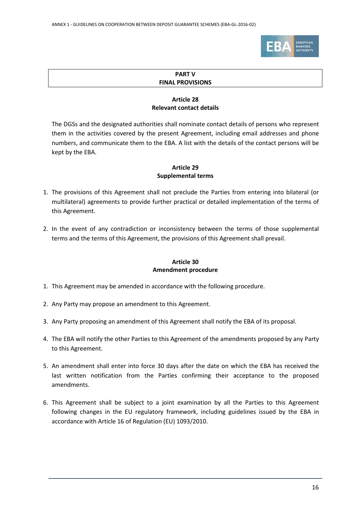

#### **PART V FINAL PROVISIONS**

## **Article 28 Relevant contact details**

The DGSs and the designated authorities shall nominate contact details of persons who represent them in the activities covered by the present Agreement, including email addresses and phone numbers, and communicate them to the EBA. A list with the details of the contact persons will be kept by the EBA.

## **Article 29 Supplemental terms**

- 1. The provisions of this Agreement shall not preclude the Parties from entering into bilateral (or multilateral) agreements to provide further practical or detailed implementation of the terms of this Agreement.
- 2. In the event of any contradiction or inconsistency between the terms of those supplemental terms and the terms of this Agreement, the provisions of this Agreement shall prevail.

## **Article 30 Amendment procedure**

- 1. This Agreement may be amended in accordance with the following procedure.
- 2. Any Party may propose an amendment to this Agreement.
- 3. Any Party proposing an amendment of this Agreement shall notify the EBA of its proposal.
- 4. The EBA will notify the other Parties to this Agreement of the amendments proposed by any Party to this Agreement.
- 5. An amendment shall enter into force 30 days after the date on which the EBA has received the last written notification from the Parties confirming their acceptance to the proposed amendments.
- 6. This Agreement shall be subject to a joint examination by all the Parties to this Agreement following changes in the EU regulatory framework, including guidelines issued by the EBA in accordance with Article 16 of Regulation (EU) 1093/2010.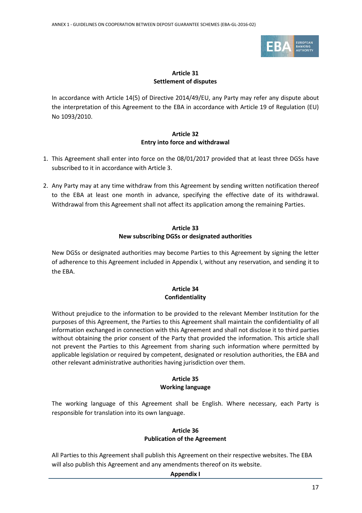

## **Article 31 Settlement of disputes**

In accordance with Article 14(5) of Directive 2014/49/EU, any Party may refer any dispute about the interpretation of this Agreement to the EBA in accordance with Article 19 of Regulation (EU) No 1093/2010.

#### **Article 32 Entry into force and withdrawal**

- 1. This Agreement shall enter into force on the 08/01/2017 provided that at least three DGSs have subscribed to it in accordance with Article 3.
- 2. Any Party may at any time withdraw from this Agreement by sending written notification thereof to the EBA at least one month in advance, specifying the effective date of its withdrawal. Withdrawal from this Agreement shall not affect its application among the remaining Parties.

## **Article 33 New subscribing DGSs or designated authorities**

New DGSs or designated authorities may become Parties to this Agreement by signing the letter of adherence to this Agreement included in Appendix I, without any reservation, and sending it to the EBA.

## **Article 34 Confidentiality**

Without prejudice to the information to be provided to the relevant Member Institution for the purposes of this Agreement, the Parties to this Agreement shall maintain the confidentiality of all information exchanged in connection with this Agreement and shall not disclose it to third parties without obtaining the prior consent of the Party that provided the information. This article shall not prevent the Parties to this Agreement from sharing such information where permitted by applicable legislation or required by competent, designated or resolution authorities, the EBA and other relevant administrative authorities having jurisdiction over them.

## **Article 35 Working language**

The working language of this Agreement shall be English. Where necessary, each Party is responsible for translation into its own language.

#### **Article 36 Publication of the Agreement**

All Parties to this Agreement shall publish this Agreement on their respective websites. The EBA will also publish this Agreement and any amendments thereof on its website.

#### **Appendix I**